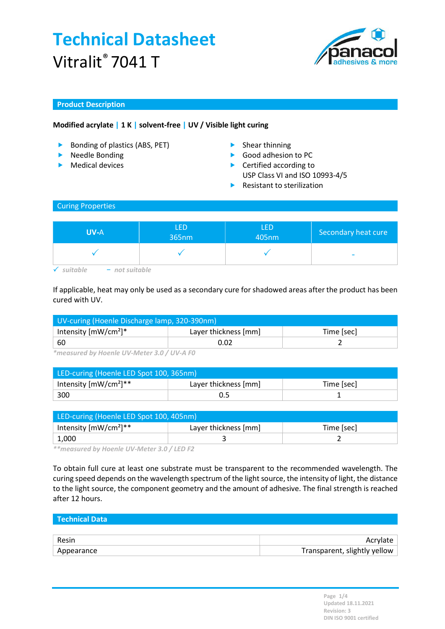

### Product Description

### Modified acrylate | 1 K | solvent-free | UV / Visible light curing

- ▶ Bonding of plastics (ABS, PET) Shear thinning
- **Needle Bonding**
- $\blacktriangleright$  Medical devices
- 
- Good adhesion to PC
- ▶ Certified according to USP Class VI and ISO 10993-4/5
- $\blacktriangleright$  Resistant to sterilization

#### Curing Properties

| <b>UV-A</b>      | <b>LED</b><br>365nm | LED<br>405nm | Secondary heat cure |
|------------------|---------------------|--------------|---------------------|
|                  |                     |              | -                   |
| $-$ not suitable |                     |              |                     |

If applicable, heat may only be used as a secondary cure for shadowed areas after the product has been cured with UV.

| UV-curing (Hoenle Discharge lamp, 320-390nm) |                      |            |  |
|----------------------------------------------|----------------------|------------|--|
| Intensity $[mW/cm^2]^*$                      | Layer thickness [mm] | Time [sec] |  |
| - 60                                         | 0.02                 |            |  |

\*measured by Hoenle UV-Meter 3.0 / UV-A F0

| LED-curing (Hoenle LED Spot 100, 365nm) |                      |            |  |
|-----------------------------------------|----------------------|------------|--|
| Intensity $[mW/cm^2]^{**}$              | Layer thickness [mm] | Time [sec] |  |
| 300                                     |                      |            |  |

| LED-curing (Hoenle LED Spot 100, 405nm) |                      |            |  |
|-----------------------------------------|----------------------|------------|--|
| Intensity $[mW/cm^2]^{**}$              | Layer thickness [mm] | Time [sec] |  |
| 1,000                                   |                      |            |  |

\*\*measured by Hoenle UV-Meter 3.0 / LED F2

To obtain full cure at least one substrate must be transparent to the recommended wavelength. The curing speed depends on the wavelength spectrum of the light source, the intensity of light, the distance to the light source, the component geometry and the amount of adhesive. The final strength is reached after 12 hours.

| l Technical Data |                              |
|------------------|------------------------------|
|                  |                              |
| Resin            | Acrylate                     |
| Appearance       | Transparent, slightly yellow |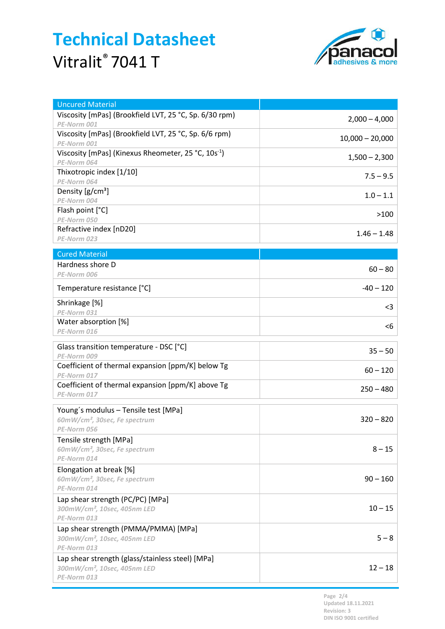

| <b>Uncured Material</b>                                                                                     |                   |
|-------------------------------------------------------------------------------------------------------------|-------------------|
| Viscosity [mPas] (Brookfield LVT, 25 °C, Sp. 6/30 rpm)<br>PE-Norm 001                                       | $2,000 - 4,000$   |
| Viscosity [mPas] (Brookfield LVT, 25 °C, Sp. 6/6 rpm)<br>PE-Norm 001                                        | $10,000 - 20,000$ |
| Viscosity [mPas] (Kinexus Rheometer, 25 °C, 10s <sup>-1</sup> )<br>PE-Norm 064                              | $1,500 - 2,300$   |
| Thixotropic index [1/10]<br>PE-Norm 064                                                                     | $7.5 - 9.5$       |
| Density $[g/cm^3]$<br>PE-Norm 004                                                                           | $1.0 - 1.1$       |
| Flash point [°C]                                                                                            | >100              |
| PE-Norm 050<br>Refractive index [nD20]                                                                      | $1.46 - 1.48$     |
| PE-Norm 023                                                                                                 |                   |
| <b>Cured Material</b>                                                                                       |                   |
| Hardness shore D<br>PE-Norm 006                                                                             | $60 - 80$         |
| Temperature resistance [°C]                                                                                 | $-40 - 120$       |
| Shrinkage [%]<br>PE-Norm 031                                                                                | $<$ 3             |
| Water absorption [%]<br>PE-Norm 016                                                                         | <6                |
|                                                                                                             |                   |
| Glass transition temperature - DSC [°C]<br>PE-Norm 009                                                      | $35 - 50$         |
| Coefficient of thermal expansion [ppm/K] below Tg<br>PE-Norm 017                                            | $60 - 120$        |
| Coefficient of thermal expansion [ppm/K] above Tg<br>PE-Norm 017                                            | $250 - 480$       |
| Young's modulus - Tensile test [MPa]<br>60mW/cm <sup>2</sup> , 30sec, Fe spectrum<br>PE-Norm 056            | $320 - 820$       |
| Tensile strength [MPa]<br>60mW/cm <sup>2</sup> , 30sec, Fe spectrum<br>PE-Norm 014                          | $8 - 15$          |
| Elongation at break [%]<br>60mW/cm <sup>2</sup> , 30sec, Fe spectrum<br>PE-Norm 014                         | $90 - 160$        |
| Lap shear strength (PC/PC) [MPa]<br>300mW/cm <sup>2</sup> , 10sec, 405nm LED<br>PE-Norm 013                 | $10 - 15$         |
| Lap shear strength (PMMA/PMMA) [MPa]<br>300mW/cm <sup>2</sup> , 10sec, 405nm LED<br>PE-Norm 013             | $5 - 8$           |
| Lap shear strength (glass/stainless steel) [MPa]<br>300mW/cm <sup>2</sup> , 10sec, 405nm LED<br>PE-Norm 013 | $12 - 18$         |

Page 2/4 Updated 18.11.2021 Revision: 3 DIN ISO 9001 certified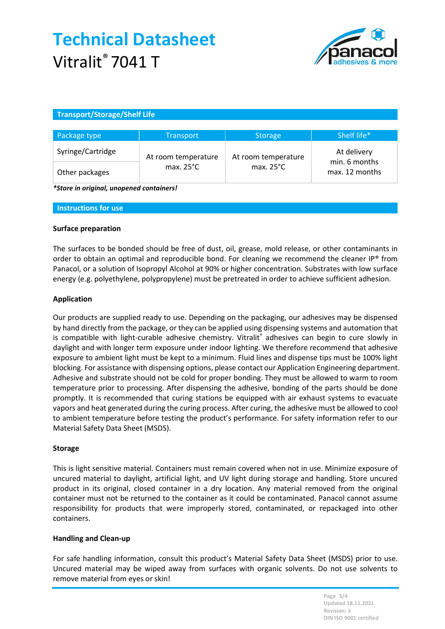

## Transport/Storage/Shelf Life

| Package type      | <b>Transport</b>    | <b>Storage</b>      | Shelf life*                     |
|-------------------|---------------------|---------------------|---------------------------------|
| Syringe/Cartridge | At room temperature | At room temperature | At delivery                     |
| Other packages    | max. $25^{\circ}$ C | max. $25^{\circ}$ C | min. 6 months<br>max. 12 months |

\*Store in original, unopened containers!

Instructions for use

### Surface preparation

The surfaces to be bonded should be free of dust, oil, grease, mold release, or other contaminants in order to obtain an optimal and reproducible bond. For cleaning we recommend the cleaner IP® from Panacol, or a solution of Isopropyl Alcohol at 90% or higher concentration. Substrates with low surface energy (e.g. polyethylene, polypropylene) must be pretreated in order to achieve sufficient adhesion.

### Application

Our products are supplied ready to use. Depending on the packaging, our adhesives may be dispensed by hand directly from the package, or they can be applied using dispensing systems and automation that is compatible with light-curable adhesive chemistry. Vitralit® adhesives can begin to cure slowly in daylight and with longer term exposure under indoor lighting. We therefore recommend that adhesive exposure to ambient light must be kept to a minimum. Fluid lines and dispense tips must be 100% light blocking. For assistance with dispensing options, please contact our Application Engineering department. Adhesive and substrate should not be cold for proper bonding. They must be allowed to warm to room temperature prior to processing. After dispensing the adhesive, bonding of the parts should be done promptly. It is recommended that curing stations be equipped with air exhaust systems to evacuate vapors and heat generated during the curing process. After curing, the adhesive must be allowed to cool to ambient temperature before testing the product's performance. For safety information refer to our Material Safety Data Sheet (MSDS).

#### Storage

This is light sensitive material. Containers must remain covered when not in use. Minimize exposure of uncured material to daylight, artificial light, and UV light during storage and handling. Store uncured product in its original, closed container in a dry location. Any material removed from the original container must not be returned to the container as it could be contaminated. Panacol cannot assume responsibility for products that were improperly stored, contaminated, or repackaged into other containers.

#### Handling and Clean-up

For safe handling information, consult this product's Material Safety Data Sheet (MSDS) prior to use. Uncured material may be wiped away from surfaces with organic solvents. Do not use solvents to remove material from eyes or skin!